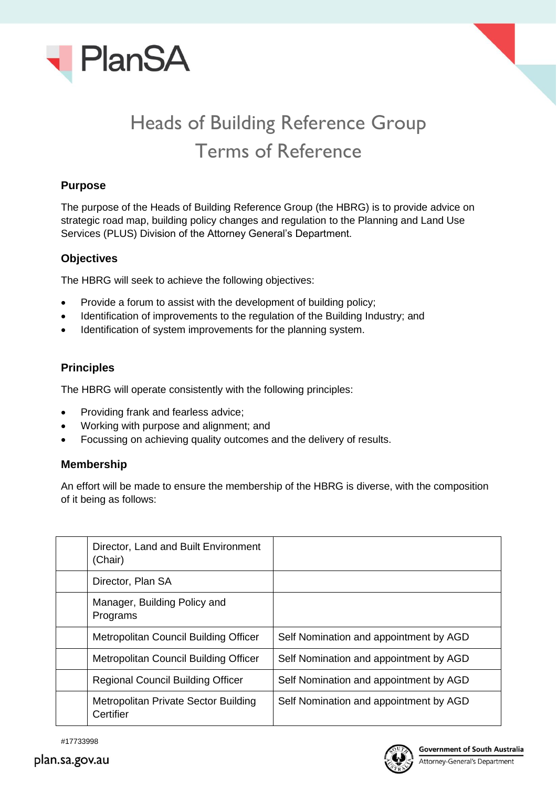



# Heads of Building Reference Group Terms of Reference

# **Purpose**

The purpose of the Heads of Building Reference Group (the HBRG) is to provide advice on strategic road map, building policy changes and regulation to the Planning and Land Use Services (PLUS) Division of the Attorney General's Department.

#### **Objectives**

The HBRG will seek to achieve the following objectives:

- Provide a forum to assist with the development of building policy;
- Identification of improvements to the regulation of the Building Industry; and
- Identification of system improvements for the planning system.

#### **Principles**

The HBRG will operate consistently with the following principles:

- Providing frank and fearless advice;
- Working with purpose and alignment; and
- Focussing on achieving quality outcomes and the delivery of results.

# **Membership**

An effort will be made to ensure the membership of the HBRG is diverse, with the composition of it being as follows:

| Director, Land and Built Environment<br>(Chair)   |                                        |
|---------------------------------------------------|----------------------------------------|
| Director, Plan SA                                 |                                        |
| Manager, Building Policy and<br>Programs          |                                        |
| Metropolitan Council Building Officer             | Self Nomination and appointment by AGD |
| Metropolitan Council Building Officer             | Self Nomination and appointment by AGD |
| <b>Regional Council Building Officer</b>          | Self Nomination and appointment by AGD |
| Metropolitan Private Sector Building<br>Certifier | Self Nomination and appointment by AGD |

#17733998

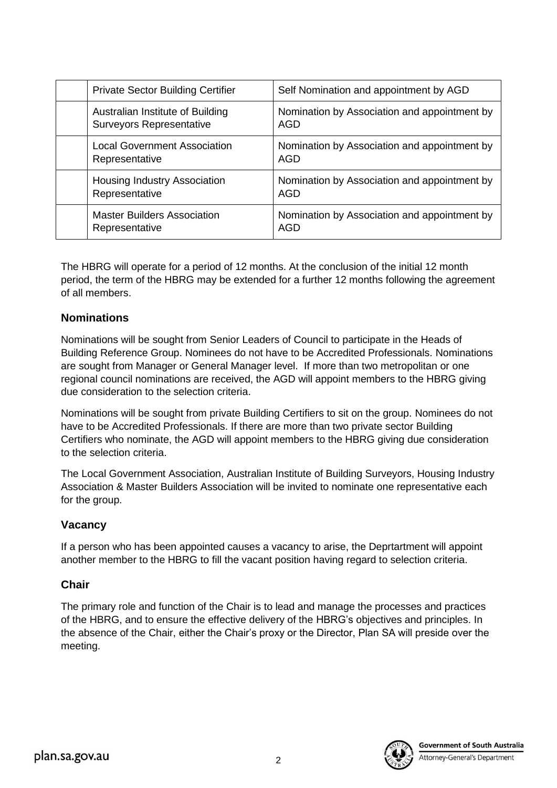| <b>Private Sector Building Certifier</b>                            | Self Nomination and appointment by AGD              |
|---------------------------------------------------------------------|-----------------------------------------------------|
| Australian Institute of Building<br><b>Surveyors Representative</b> | Nomination by Association and appointment by<br>AGD |
| <b>Local Government Association</b><br>Representative               | Nomination by Association and appointment by<br>AGD |
| Housing Industry Association<br>Representative                      | Nomination by Association and appointment by<br>AGD |
| <b>Master Builders Association</b><br>Representative                | Nomination by Association and appointment by<br>AGD |

The HBRG will operate for a period of 12 months. At the conclusion of the initial 12 month period, the term of the HBRG may be extended for a further 12 months following the agreement of all members.

#### **Nominations**

Nominations will be sought from Senior Leaders of Council to participate in the Heads of Building Reference Group. Nominees do not have to be Accredited Professionals. Nominations are sought from Manager or General Manager level. If more than two metropolitan or one regional council nominations are received, the AGD will appoint members to the HBRG giving due consideration to the selection criteria.

Nominations will be sought from private Building Certifiers to sit on the group. Nominees do not have to be Accredited Professionals. If there are more than two private sector Building Certifiers who nominate, the AGD will appoint members to the HBRG giving due consideration to the selection criteria.

The Local Government Association, Australian Institute of Building Surveyors, Housing Industry Association & Master Builders Association will be invited to nominate one representative each for the group.

# **Vacancy**

If a person who has been appointed causes a vacancy to arise, the Deprtartment will appoint another member to the HBRG to fill the vacant position having regard to selection criteria.

#### **Chair**

The primary role and function of the Chair is to lead and manage the processes and practices of the HBRG, and to ensure the effective delivery of the HBRG's objectives and principles. In the absence of the Chair, either the Chair's proxy or the Director, Plan SA will preside over the meeting.



**Government of South Australia**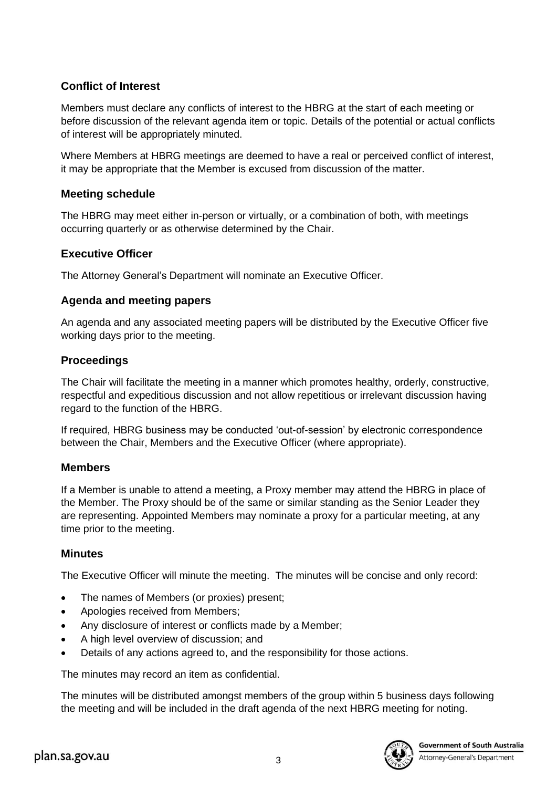# **Conflict of Interest**

Members must declare any conflicts of interest to the HBRG at the start of each meeting or before discussion of the relevant agenda item or topic. Details of the potential or actual conflicts of interest will be appropriately minuted.

Where Members at HBRG meetings are deemed to have a real or perceived conflict of interest, it may be appropriate that the Member is excused from discussion of the matter.

# **Meeting schedule**

The HBRG may meet either in-person or virtually, or a combination of both, with meetings occurring quarterly or as otherwise determined by the Chair.

# **Executive Officer**

The Attorney General's Department will nominate an Executive Officer.

# **Agenda and meeting papers**

An agenda and any associated meeting papers will be distributed by the Executive Officer five working days prior to the meeting.

#### **Proceedings**

The Chair will facilitate the meeting in a manner which promotes healthy, orderly, constructive, respectful and expeditious discussion and not allow repetitious or irrelevant discussion having regard to the function of the HBRG.

If required, HBRG business may be conducted 'out-of-session' by electronic correspondence between the Chair, Members and the Executive Officer (where appropriate).

# **Members**

If a Member is unable to attend a meeting, a Proxy member may attend the HBRG in place of the Member. The Proxy should be of the same or similar standing as the Senior Leader they are representing. Appointed Members may nominate a proxy for a particular meeting, at any time prior to the meeting.

# **Minutes**

The Executive Officer will minute the meeting. The minutes will be concise and only record:

- The names of Members (or proxies) present;
- Apologies received from Members;
- Any disclosure of interest or conflicts made by a Member;
- A high level overview of discussion; and
- Details of any actions agreed to, and the responsibility for those actions.

The minutes may record an item as confidential.

The minutes will be distributed amongst members of the group within 5 business days following the meeting and will be included in the draft agenda of the next HBRG meeting for noting.



**Government of South Australia**